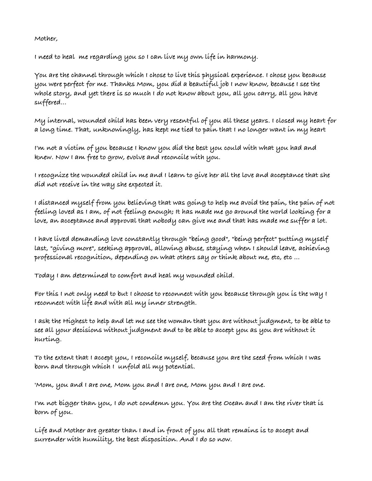**Mother,**

**I need to heal me regarding you so I can live my own life in harmony.**

**You are the channel through which I chose to live this physical experience. I chose you because you were perfect for me. Thanks Mom, you did a beautiful job I now know, because I see the whole story, and yet there is so much I do not know about you, all you carry, all you have suffered...**

**My internal, wounded child has been very resentful of you all these years. I closed my heart for a long time. That, unknowingly, has kept me tied to pain that I no longer want in my heart**

**I'm not a victim of you because I know you did the best you could with what you had and knew. Now I am free to grow, evolve and reconcile with you.**

**I recognize the wounded child in me and I learn to give her all the love and acceptance that she did not receive in the way she expected it.**

**I distanced myself from you believing that was going to help me avoid the pain, the pain of not feeling loved as I am, of not feeling enough; It has made me go around the world looking for a love, an acceptance and approval that nobody can give me and that has made me suffer a lot.**

**I have lived demanding love constantly through "being good", "being perfect" putting myself last, "giving more", seeking approval, allowing abuse, staying when I should leave, achieving professional recognition, depending on what others say or think about me, etc, etc ...**

**Today I am determined to comfort and heal my wounded child.**

**For this I not only need to but I choose to reconnect with you because through you is the way I reconnect with life and with all my inner strength.**

**I ask the Highest to help and let me see the woman that you are without judgment, to be able to see all your decisions without judgment and to be able to accept you as you are without it hurting.**

**To the extent that I accept you, I reconcile myself, because you are the seed from which I was born and through which I unfold all my potential.**

**'Mom, you and I are one, Mom you and I are one, Mom you and I are one.**

**I'm not bigger than you, I do not condemn you. You are the Ocean and I am the river that is born of you.**

**Life and Mother are greater than I and in front of you all that remains is to accept and surrender with humility, the best disposition. And I do so now.**